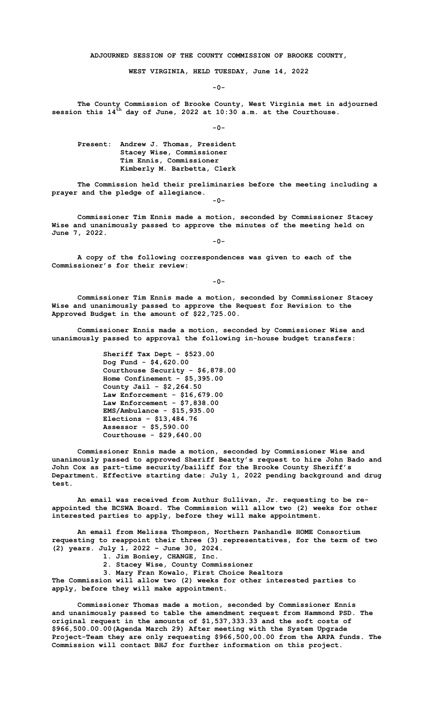**ADJOURNED SESSION OF THE COUNTY COMMISSION OF BROOKE COUNTY,**

**WEST VIRGINIA, HELD TUESDAY, June 14, 2022**

**-0-**

**The County Commission of Brooke County, West Virginia met in adjourned session this 14th day of June, 2022 at 10:30 a.m. at the Courthouse.**

**-0-**

**Present: Andrew J. Thomas, President Stacey Wise, Commissioner Tim Ennis, Commissioner Kimberly M. Barbetta, Clerk**

**The Commission held their preliminaries before the meeting including a prayer and the pledge of allegiance.** 

**-0-**

**Commissioner Tim Ennis made a motion, seconded by Commissioner Stacey Wise and unanimously passed to approve the minutes of the meeting held on June 7, 2022.**

**-0-**

**A copy of the following correspondences was given to each of the Commissioner's for their review:**

**-0-**

**Commissioner Tim Ennis made a motion, seconded by Commissioner Stacey Wise and unanimously passed to approve the Request for Revision to the Approved Budget in the amount of \$22,725.00.**

**Commissioner Ennis made a motion, seconded by Commissioner Wise and unanimously passed to approval the following in-house budget transfers:**

> **Sheriff Tax Dept - \$523.00 Dog Fund - \$4,620.00 Courthouse Security - \$6,878.00 Home Confinement - \$5,395.00 County Jail - \$2,264.50 Law Enforcement - \$16,679.00 Law Enforcement - \$7,838.00 EMS/Ambulance - \$15,935.00 Elections - \$13,484.76 Assessor - \$5,590.00 Courthouse - \$29,640.00**

**Commissioner Ennis made a motion, seconded by Commissioner Wise and unanimously passed to approved Sheriff Beatty's request to hire John Bado and John Cox as part-time security/bailiff for the Brooke County Sheriff's Department. Effective starting date: July 1, 2022 pending background and drug test.** 

**An email was received from Authur Sullivan, Jr. requesting to be reappointed the BCSWA Board. The Commission will allow two (2) weeks for other interested parties to apply, before they will make appointment.**

**An email from Melissa Thompson, Northern Panhandle HOME Consortium requesting to reappoint their three (3) representatives, for the term of two (2) years. July 1, 2022 – June 30, 2024.** 

**1. Jim Boniey, CHANGE, Inc.**

**2. Stacey Wise, County Commissioner**

**3. Mary Fran Kowalo, First Choice Realtors**

**The Commission will allow two (2) weeks for other interested parties to apply, before they will make appointment.**

**Commissioner Thomas made a motion, seconded by Commissioner Ennis and unanimously passed to table the amendment request from Hammond PSD. The original request in the amounts of \$1,537,333.33 and the soft costs of \$966,500.00.00(Agenda March 29) After meeting with the System Upgrade Project-Team they are only requesting \$966,500,00.00 from the ARPA funds. The Commission will contact BHJ for further information on this project.**